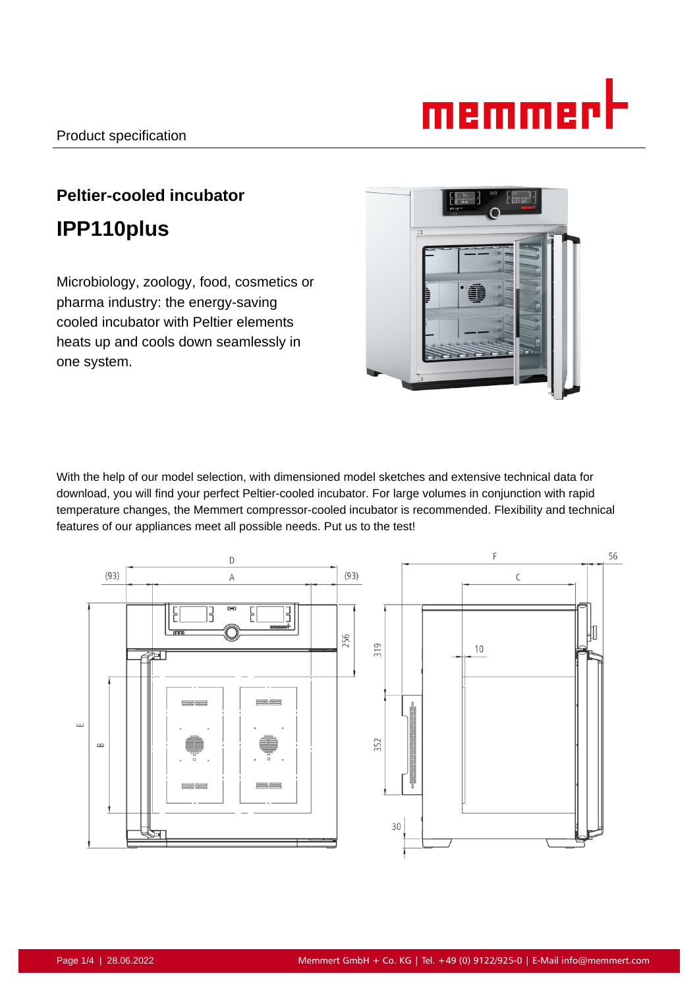# memmerl

# **Peltier-cooled incubator IPP110plus**

Microbiology, zoology, food, cosmetics or pharma industry: the energy-saving cooled incubator with Peltier elements heats up and cools down seamlessly in one system.



With the help of our model selection, with dimensioned model sketches and extensive technical data for download, you will find your perfect Peltier-cooled incubator. For large volumes in conjunction with rapid temperature changes, the Memmert compressor-cooled incubator is recommended. Flexibility and technical features of our appliances meet all possible needs. Put us to the test!

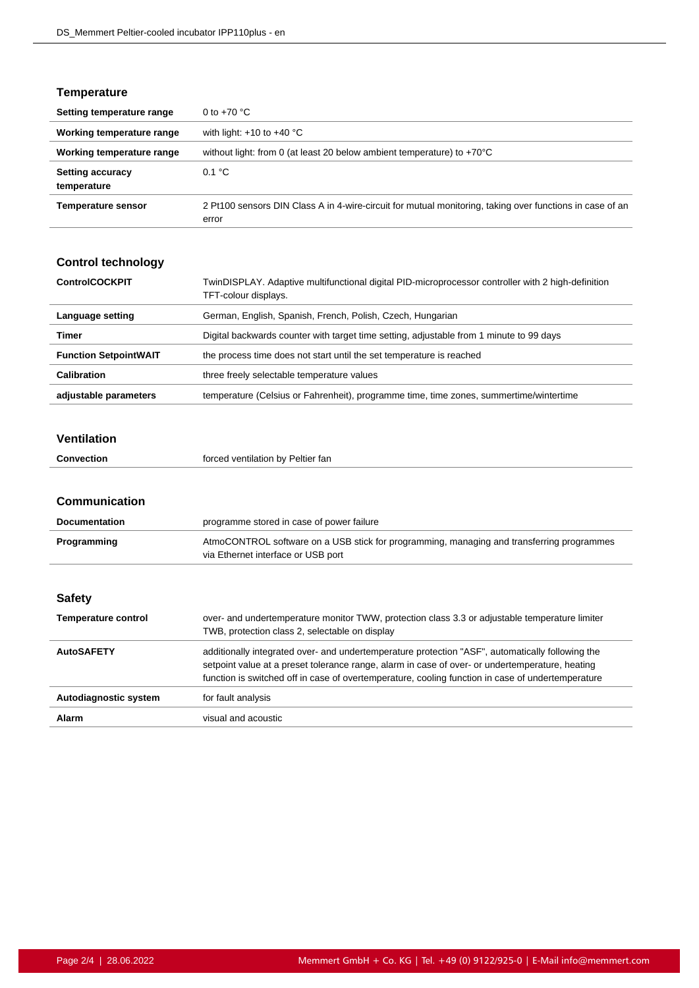# **Temperature**

| Setting temperature range              | 0 to $+70$ °C                                                                                                     |
|----------------------------------------|-------------------------------------------------------------------------------------------------------------------|
| Working temperature range              | with light: $+10$ to $+40$ °C                                                                                     |
| Working temperature range              | without light: from 0 (at least 20 below ambient temperature) to $+70^{\circ}$ C                                  |
| <b>Setting accuracy</b><br>temperature | 0.1 °C                                                                                                            |
| <b>Temperature sensor</b>              | 2 Pt100 sensors DIN Class A in 4-wire-circuit for mutual monitoring, taking over functions in case of an<br>error |

# **Control technology**

| <b>ControlCOCKPIT</b>        | TwinDISPLAY. Adaptive multifunctional digital PID-microprocessor controller with 2 high-definition<br>TFT-colour displays. |
|------------------------------|----------------------------------------------------------------------------------------------------------------------------|
| Language setting             | German, English, Spanish, French, Polish, Czech, Hungarian                                                                 |
| Timer                        | Digital backwards counter with target time setting, adjustable from 1 minute to 99 days                                    |
| <b>Function SetpointWAIT</b> | the process time does not start until the set temperature is reached                                                       |
| Calibration                  | three freely selectable temperature values                                                                                 |
| adjustable parameters        | temperature (Celsius or Fahrenheit), programme time, time zones, summertime/wintertime                                     |

#### **Ventilation**

#### **Communication**

| <b>Documentation</b>       | programme stored in case of power failure                                                                                                                                                                                                                                                                |
|----------------------------|----------------------------------------------------------------------------------------------------------------------------------------------------------------------------------------------------------------------------------------------------------------------------------------------------------|
| Programming                | AtmoCONTROL software on a USB stick for programming, managing and transferring programmes<br>via Ethernet interface or USB port                                                                                                                                                                          |
|                            |                                                                                                                                                                                                                                                                                                          |
| <b>Safety</b>              |                                                                                                                                                                                                                                                                                                          |
| <b>Temperature control</b> | over- and undertemperature monitor TWW, protection class 3.3 or adjustable temperature limiter<br>TWB, protection class 2, selectable on display                                                                                                                                                         |
| <b>AutoSAFETY</b>          | additionally integrated over- and undertemperature protection "ASF", automatically following the<br>setpoint value at a preset tolerance range, alarm in case of over- or undertemperature, heating<br>function is switched off in case of overtemperature, cooling function in case of undertemperature |
| Autodiagnostic system      | for fault analysis                                                                                                                                                                                                                                                                                       |
| Alarm                      | visual and acoustic                                                                                                                                                                                                                                                                                      |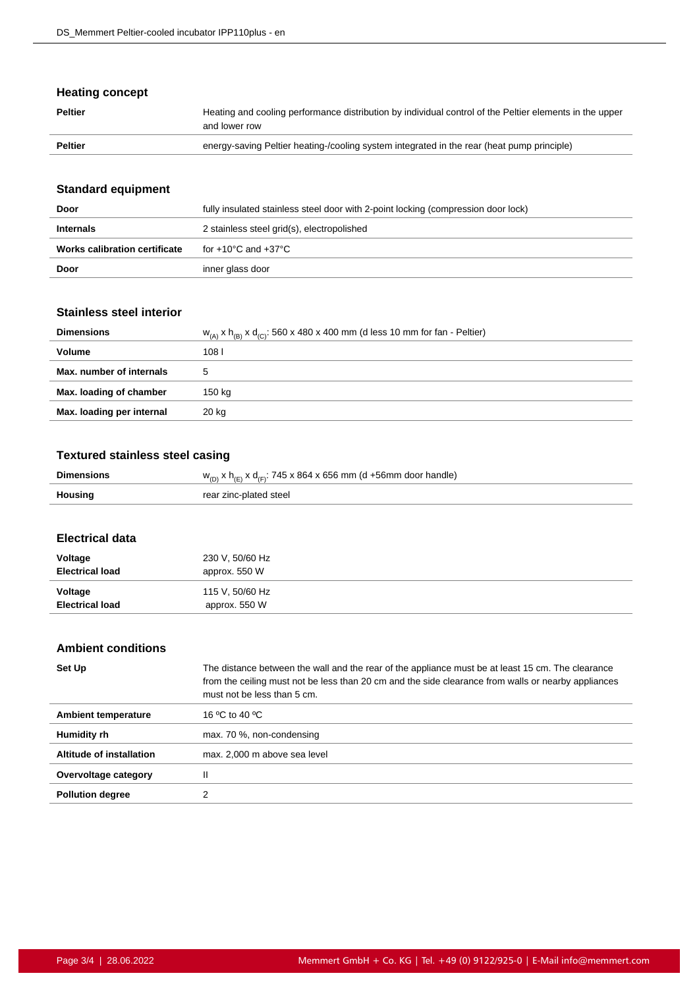# **Heating concept**

| <b>Peltier</b> | Heating and cooling performance distribution by individual control of the Peltier elements in the upper<br>and lower row |
|----------------|--------------------------------------------------------------------------------------------------------------------------|
| <b>Peltier</b> | energy-saving Peltier heating-/cooling system integrated in the rear (heat pump principle)                               |

# **Standard equipment**

| Door                          | fully insulated stainless steel door with 2-point locking (compression door lock) |
|-------------------------------|-----------------------------------------------------------------------------------|
| <b>Internals</b>              | 2 stainless steel grid(s), electropolished                                        |
| Works calibration certificate | for +10°C and +37°C                                                               |
| Door                          | inner glass door                                                                  |

## **Stainless steel interior**

| <b>Dimensions</b>         | $W_{(A)}$ x $h_{(B)}$ x $d_{(C)}$ : 560 x 480 x 400 mm (d less 10 mm for fan - Peltier) |
|---------------------------|-----------------------------------------------------------------------------------------|
| Volume                    | 108 l                                                                                   |
| Max. number of internals  |                                                                                         |
| Max. loading of chamber   | 150 kg                                                                                  |
| Max. loading per internal | 20 kg                                                                                   |

## **Textured stainless steel casing**

| <b>Dimensions</b> | $w_{(D)}$ x h <sub>(E)</sub> x d <sub>(F)</sub> : 745 x 864 x 656 mm (d +56mm door handle) |
|-------------------|--------------------------------------------------------------------------------------------|
| Housing           | rear zinc-plated steel                                                                     |
|                   |                                                                                            |

#### **Electrical data**

l,

| Voltage                | 230 V, 50/60 Hz |
|------------------------|-----------------|
| <b>Electrical load</b> | approx. 550 W   |
| Voltage                | 115 V, 50/60 Hz |
| <b>Electrical load</b> | approx. 550 W   |

# **Ambient conditions**

| Set Up                     | The distance between the wall and the rear of the appliance must be at least 15 cm. The clearance<br>from the ceiling must not be less than 20 cm and the side clearance from walls or nearby appliances<br>must not be less than 5 cm. |
|----------------------------|-----------------------------------------------------------------------------------------------------------------------------------------------------------------------------------------------------------------------------------------|
| <b>Ambient temperature</b> | 16 °C to 40 °C                                                                                                                                                                                                                          |
| Humidity rh                | max. 70 %, non-condensing                                                                                                                                                                                                               |
| Altitude of installation   | max. 2,000 m above sea level                                                                                                                                                                                                            |
| Overvoltage category       | Ш                                                                                                                                                                                                                                       |
| <b>Pollution degree</b>    |                                                                                                                                                                                                                                         |